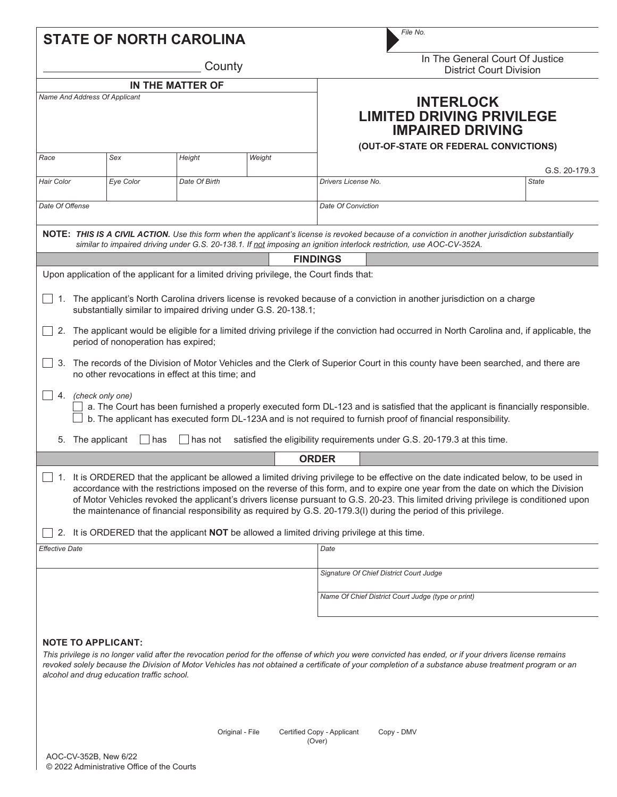|                                                                                                                                                                                                                                                                                                                                                                                                                                                                                                                                       |                                                                                                                                                                                                                                                                                                                                                                                            |           | <b>STATE OF NORTH CAROLINA</b>                                                                   |        |                                                                                                                          | File No.                                                                 |               |  |  |  |  |
|---------------------------------------------------------------------------------------------------------------------------------------------------------------------------------------------------------------------------------------------------------------------------------------------------------------------------------------------------------------------------------------------------------------------------------------------------------------------------------------------------------------------------------------|--------------------------------------------------------------------------------------------------------------------------------------------------------------------------------------------------------------------------------------------------------------------------------------------------------------------------------------------------------------------------------------------|-----------|--------------------------------------------------------------------------------------------------|--------|--------------------------------------------------------------------------------------------------------------------------|--------------------------------------------------------------------------|---------------|--|--|--|--|
| County                                                                                                                                                                                                                                                                                                                                                                                                                                                                                                                                |                                                                                                                                                                                                                                                                                                                                                                                            |           |                                                                                                  |        |                                                                                                                          | In The General Court Of Justice<br><b>District Court Division</b>        |               |  |  |  |  |
| IN THE MATTER OF                                                                                                                                                                                                                                                                                                                                                                                                                                                                                                                      |                                                                                                                                                                                                                                                                                                                                                                                            |           |                                                                                                  |        |                                                                                                                          |                                                                          |               |  |  |  |  |
| Name And Address Of Applicant                                                                                                                                                                                                                                                                                                                                                                                                                                                                                                         |                                                                                                                                                                                                                                                                                                                                                                                            |           |                                                                                                  |        | <b>INTERLOCK</b><br><b>LIMITED DRIVING PRIVILEGE</b><br><b>IMPAIRED DRIVING</b><br>(OUT-OF-STATE OR FEDERAL CONVICTIONS) |                                                                          |               |  |  |  |  |
| Race                                                                                                                                                                                                                                                                                                                                                                                                                                                                                                                                  |                                                                                                                                                                                                                                                                                                                                                                                            | Sex       | Height                                                                                           | Weight |                                                                                                                          |                                                                          | G.S. 20-179.3 |  |  |  |  |
| Hair Color                                                                                                                                                                                                                                                                                                                                                                                                                                                                                                                            |                                                                                                                                                                                                                                                                                                                                                                                            | Eye Color | Date Of Birth                                                                                    |        | Drivers License No.<br><b>State</b>                                                                                      |                                                                          |               |  |  |  |  |
| Date Of Offense                                                                                                                                                                                                                                                                                                                                                                                                                                                                                                                       |                                                                                                                                                                                                                                                                                                                                                                                            |           |                                                                                                  |        |                                                                                                                          | Date Of Conviction                                                       |               |  |  |  |  |
| NOTE: THIS IS A CIVIL ACTION. Use this form when the applicant's license is revoked because of a conviction in another jurisdiction substantially<br>similar to impaired driving under G.S. 20-138.1. If not imposing an ignition interlock restriction, use AOC-CV-352A.                                                                                                                                                                                                                                                             |                                                                                                                                                                                                                                                                                                                                                                                            |           |                                                                                                  |        |                                                                                                                          |                                                                          |               |  |  |  |  |
|                                                                                                                                                                                                                                                                                                                                                                                                                                                                                                                                       |                                                                                                                                                                                                                                                                                                                                                                                            |           |                                                                                                  |        | <b>FINDINGS</b>                                                                                                          |                                                                          |               |  |  |  |  |
|                                                                                                                                                                                                                                                                                                                                                                                                                                                                                                                                       |                                                                                                                                                                                                                                                                                                                                                                                            |           | Upon application of the applicant for a limited driving privilege, the Court finds that:         |        |                                                                                                                          |                                                                          |               |  |  |  |  |
| 1. The applicant's North Carolina drivers license is revoked because of a conviction in another jurisdiction on a charge<br>substantially similar to impaired driving under G.S. 20-138.1;                                                                                                                                                                                                                                                                                                                                            |                                                                                                                                                                                                                                                                                                                                                                                            |           |                                                                                                  |        |                                                                                                                          |                                                                          |               |  |  |  |  |
|                                                                                                                                                                                                                                                                                                                                                                                                                                                                                                                                       | 2. The applicant would be eligible for a limited driving privilege if the conviction had occurred in North Carolina and, if applicable, the<br>period of nonoperation has expired;                                                                                                                                                                                                         |           |                                                                                                  |        |                                                                                                                          |                                                                          |               |  |  |  |  |
| 3. The records of the Division of Motor Vehicles and the Clerk of Superior Court in this county have been searched, and there are<br>no other revocations in effect at this time; and                                                                                                                                                                                                                                                                                                                                                 |                                                                                                                                                                                                                                                                                                                                                                                            |           |                                                                                                  |        |                                                                                                                          |                                                                          |               |  |  |  |  |
|                                                                                                                                                                                                                                                                                                                                                                                                                                                                                                                                       | 4. (check only one)<br>a. The Court has been furnished a properly executed form DL-123 and is satisfied that the applicant is financially responsible.<br>b. The applicant has executed form DL-123A and is not required to furnish proof of financial responsibility.                                                                                                                     |           |                                                                                                  |        |                                                                                                                          |                                                                          |               |  |  |  |  |
|                                                                                                                                                                                                                                                                                                                                                                                                                                                                                                                                       | 5. The applicant                                                                                                                                                                                                                                                                                                                                                                           | has       | has not                                                                                          |        |                                                                                                                          | satisfied the eligibility requirements under G.S. 20-179.3 at this time. |               |  |  |  |  |
|                                                                                                                                                                                                                                                                                                                                                                                                                                                                                                                                       |                                                                                                                                                                                                                                                                                                                                                                                            |           |                                                                                                  |        | <b>ORDER</b>                                                                                                             |                                                                          |               |  |  |  |  |
| 1. It is ORDERED that the applicant be allowed a limited driving privilege to be effective on the date indicated below, to be used in<br>accordance with the restrictions imposed on the reverse of this form, and to expire one year from the date on which the Division<br>of Motor Vehicles revoked the applicant's drivers license pursuant to G.S. 20-23. This limited driving privilege is conditioned upon<br>the maintenance of financial responsibility as required by G.S. 20-179.3(I) during the period of this privilege. |                                                                                                                                                                                                                                                                                                                                                                                            |           |                                                                                                  |        |                                                                                                                          |                                                                          |               |  |  |  |  |
| 2.                                                                                                                                                                                                                                                                                                                                                                                                                                                                                                                                    |                                                                                                                                                                                                                                                                                                                                                                                            |           | It is ORDERED that the applicant <b>NOT</b> be allowed a limited driving privilege at this time. |        |                                                                                                                          |                                                                          |               |  |  |  |  |
| <b>Effective Date</b>                                                                                                                                                                                                                                                                                                                                                                                                                                                                                                                 |                                                                                                                                                                                                                                                                                                                                                                                            |           |                                                                                                  |        | Date                                                                                                                     |                                                                          |               |  |  |  |  |
|                                                                                                                                                                                                                                                                                                                                                                                                                                                                                                                                       |                                                                                                                                                                                                                                                                                                                                                                                            |           |                                                                                                  |        |                                                                                                                          | Signature Of Chief District Court Judge                                  |               |  |  |  |  |
|                                                                                                                                                                                                                                                                                                                                                                                                                                                                                                                                       |                                                                                                                                                                                                                                                                                                                                                                                            |           |                                                                                                  |        |                                                                                                                          | Name Of Chief District Court Judge (type or print)                       |               |  |  |  |  |
|                                                                                                                                                                                                                                                                                                                                                                                                                                                                                                                                       | <b>NOTE TO APPLICANT:</b><br>This privilege is no longer valid after the revocation period for the offense of which you were convicted has ended, or if your drivers license remains<br>revoked solely because the Division of Motor Vehicles has not obtained a certificate of your completion of a substance abuse treatment program or an<br>alcohol and drug education traffic school. |           |                                                                                                  |        |                                                                                                                          |                                                                          |               |  |  |  |  |
| Original - File<br>Certified Copy - Applicant<br>Copy - DMV<br>(Over)                                                                                                                                                                                                                                                                                                                                                                                                                                                                 |                                                                                                                                                                                                                                                                                                                                                                                            |           |                                                                                                  |        |                                                                                                                          |                                                                          |               |  |  |  |  |